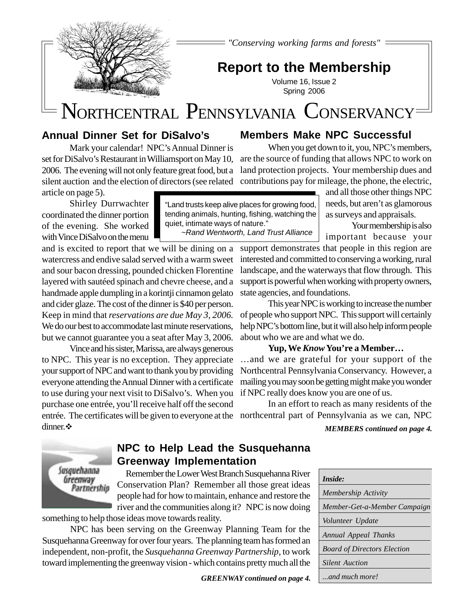

*"Conserving working farms and forests"*

## **Report to the Membership**

Volume 16, Issue 2 Spring 2006

# NORTHCENTRAL PENNSYLVANIA CONSERVANCY

"Land trusts keep alive places for growing food, tending animals, hunting, fishing, watching the

~Rand Wentworth, Land Trust Alliance

quiet, intimate ways of nature."

### **Annual Dinner Set for DiSalvo's**

Mark your calendar! NPC's Annual Dinner is set for DiSalvo's Restaurant in Williamsport on May 10, 2006. The evening will not only feature great food, but a silent auction and the election of directors (see related article on page 5).

Shirley Durrwachter coordinated the dinner portion of the evening. She worked with Vince DiSalvo on the menu

and is excited to report that we will be dining on a watercress and endive salad served with a warm sweet and sour bacon dressing, pounded chicken Florentine layered with sautéed spinach and chevre cheese, and a handmade apple dumpling in a korintji cinnamon gelato and cider glaze. The cost of the dinner is \$40 per person. Keep in mind that *reservations are due May 3, 2006.* We do our best to accommodate last minute reservations. but we cannot guarantee you a seat after May 3, 2006.

entrée. The certificates will be given to everyone at the northcentral part of Pennsylvania as we can, NPC Vince and his sister, Marissa, are always generous to NPC. This year is no exception. They appreciate your support of NPC and want to thank you by providing everyone attending the Annual Dinner with a certificate to use during your next visit to DiSalvo's. When you purchase one entrée, you'll receive half off the second dinner. \*

### **Members Make NPC Successful**

When you get down to it, you, NPC's members, are the source of funding that allows NPC to work on land protection projects. Your membership dues and contributions pay for mileage, the phone, the electric,

and all those other things NPC needs, but aren't as glamorous as surveys and appraisals.

Your membership is also important because your

support demonstrates that people in this region are interested and committed to conserving a working, rural landscape, and the waterways that flow through. This support is powerful when working with property owners, state agencies, and foundations.

This year NPC is working to increase the number of people who support NPC. This support will certainly help NPC's bottom line, but it will also help inform people about who we are and what we do.

### **Yup, We** *Know* **You're a Member…**

…and we are grateful for your support of the Northcentral Pennsylvania Conservancy. However, a mailing you may soon be getting might make you wonder if NPC really does know you are one of us.

In an effort to reach as many residents of the

*MEMBERS continued on page 4.*



### **NPC to Help Lead the Susquehanna Greenway Implementation**

Remember the Lower West Branch Susquehanna River Conservation Plan? Remember all those great ideas people had for how to maintain, enhance and restore the river and the communities along it? NPC is now doing something to help those ideas move towards reality.

NPC has been serving on the Greenway Planning Team for the Susquehanna Greenway for over four years. The planning team has formed an independent, non-profit, the *Susquehanna Greenway Partnership*, to work toward implementing the greenway vision - which contains pretty much all the

*GREENWAY continued on page 4.*

| <i>Inside:</i>                     |
|------------------------------------|
| Membership Activity                |
| Member-Get-a-Member Campaign       |
| <i>Volunteer Update</i>            |
| Annual Appeal Thanks               |
| <b>Board of Directors Election</b> |
| <b>Silent Auction</b>              |
| and much more!                     |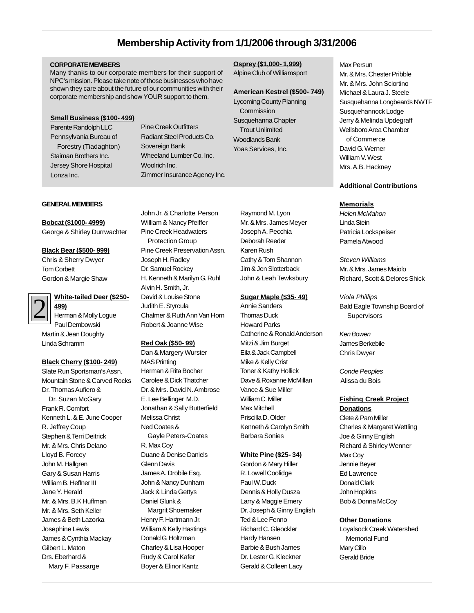### **Membership Activity from 1/1/2006 through 3/31/2006**

#### **CORPORATE MEMBERS**

Many thanks to our corporate members for their support of NPC's mission. Please take note of those businesses who have shown they care about the future of our communities with their corporate membership and show YOUR support to them.

#### **Small Business (\$100- 499)**

Parente Randolph LLC Pennsylvania Bureau of Forestry (Tiadaghton) Staiman Brothers Inc. Jersey Shore Hospital Lonza Inc.

Pine Creek Outfitters Radiant Steel Products Co. Sovereign Bank Wheeland Lumber Co. Inc. Woolrich Inc. Zimmer Insurance Agency Inc.

### **Osprey (\$1,000- 1,999)**

Alpine Club of Williamsport

#### **American Kestrel (\$500- 749)**

Lycoming County Planning **Commission** Susquehanna Chapter Trout Unlimited Woodlands Bank Yoas Services, Inc.

#### **GENERAL MEMBERS**

### **Bobcat (\$1000- 4999)**

George & Shirley Durrwachter

#### **Black Bear (\$500- 999)**

Chris & Sherry Dwyer Tom Corbett Gordon & Margie Shaw

2

### **White-tailed Deer (\$250-**

**499)** Herman & Molly Logue Paul Dembowski Martin & Jean Doughty Linda Schramm

#### **Black Cherry (\$100- 249)**

Slate Run Sportsman's Assn. Mountain Stone & Carved Rocks Dr. Thomas Aufiero & Dr. Suzan McGary Frank R. Comfort Kenneth L. & E. June Cooper R. Jeffrey Coup Stephen & Terri Deitrick Mr. & Mrs. Chris Delano Lloyd B. Forcey John M. Hallgren Gary & Susan Harris William B. Heffner III Jane Y. Herald Mr. & Mrs. B.K Huffman Mr. & Mrs. Seth Keller James & Beth Lazorka Josephine Lewis James & Cynthia Mackay Gilbert L. Maton Drs. Eberhard & Mary F. Passarge

John Jr. & Charlotte Person William & Nancy Pfeiffer Pine Creek Headwaters Protection Group Pine Creek Preservation Assn. Joseph H. Radley Dr. Samuel Rockey H. Kenneth & Marilyn G. Ruhl Alvin H. Smith, Jr. David & Louise Stone Judith E. Styrcula Chalmer & Ruth Ann Van Horn Robert & Joanne Wise

### **Red Oak (\$50- 99)**

Dan & Margery Wurster MAS Printing Herman & Rita Bocher Carolee & Dick Thatcher Dr. & Mrs. David N. Ambrose E. Lee Bellinger M.D. Jonathan & Sally Butterfield Melissa Christ Ned Coates & Gayle Peters-Coates R. Max Coy Duane & Denise Daniels Glenn Davis James A. Drobile Esq. John & Nancy Dunham Jack & Linda Gettys Daniel Glunk & Margrit Shoemaker

Henry F. Hartmann Jr. William & Kelly Hastings Donald G. Holtzman Charley & Lisa Hooper Rudy & Carol Kafer Boyer & Elinor Kantz

Raymond M. Lyon Mr. & Mrs. James Meyer Joseph A. Pecchia Deborah Reeder Karen Rush Cathy & Tom Shannon Jim & Jen Slotterback John & Leah Tewksbury

#### **Sugar Maple (\$35- 49)**

Annie Sanders Thomas Duck Howard Parks Catherine & Ronald Anderson Mitzi & Jim Burget Eila & Jack Campbell Mike & Kelly Crist Toner & Kathy Hollick Dave & Roxanne McMillan Vance & Sue Miller William C. Miller Max Mitchell Priscilla D. Older Kenneth & Carolyn Smith Barbara Sonies

#### **White Pine (\$25- 34)**

Gordon & Mary Hiller R. Lowell Coolidge Paul W. Duck Dennis & Holly Dusza Larry & Maggie Emery Dr. Joseph & Ginny English Ted & Lee Fenno Richard C. Gleockler Hardy Hansen Barbie & Bush James Dr. Lester G. Kleckner Gerald & Colleen Lacy

Max Persun Mr. & Mrs. Chester Pribble Mr. & Mrs. John Sciortino Michael & Laura J. Steele Susquehanna Longbeards NWTF Susquehannock Lodge Jerry & Melinda Updegraff Wellsboro Area Chamber of Commerce David G. Werner William V. West Mrs. A.B. Hackney

#### **Additional Contributions**

#### **Memorials**

Helen McMahon Linda Stein Patricia Lockspeiser Pamela Atwood

Steven Williams Mr. & Mrs. James Maiolo Richard, Scott & Delores Shick

Viola Phillips Bald Eagle Township Board of **Supervisors** 

Ken Bowen James Berkebile Chris Dwyer

Conde Peoples Alissa du Bois

### **Fishing Creek Project**

**Donations** Clete & Pam Miller Charles & Margaret Wettling Joe & Ginny English Richard & Shirley Wenner Max Coy Jennie Beyer Ed Lawrence Donald Clark John Hopkins Bob & Donna McCoy

#### **Other Donations**

Loyalsock Creek Watershed Memorial Fund Mary Cillo Gerald Bride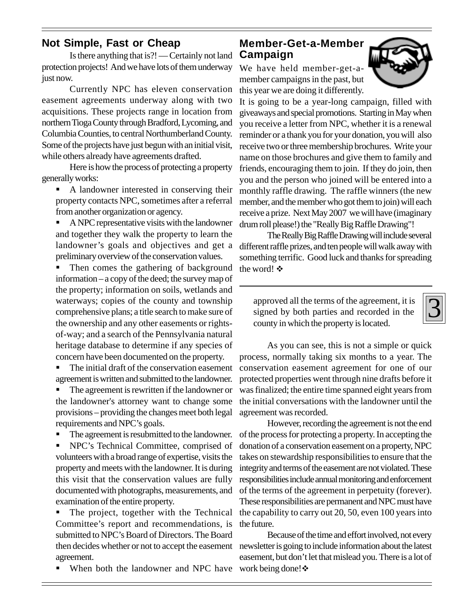### **Not Simple, Fast or Cheap**

Is there anything that is?! — Certainly not land protection projects! And we have lots of them underway just now.

Currently NPC has eleven conservation easement agreements underway along with two acquisitions. These projects range in location from northern Tioga County through Bradford, Lycoming, and Columbia Counties, to central Northumberland County. Some of the projects have just begun with an initial visit, while others already have agreements drafted.

Here is how the process of protecting a property generally works:

- " A landowner interested in conserving their property contacts NPC, sometimes after a referral from another organization or agency.
- " A NPC representative visits with the landowner and together they walk the property to learn the landowner's goals and objectives and get a preliminary overview of the conservation values.

Then comes the gathering of background information – a copy of the deed; the survey map of the property; information on soils, wetlands and waterways; copies of the county and township comprehensive plans; a title search to make sure of the ownership and any other easements or rightsof-way; and a search of the Pennsylvania natural heritage database to determine if any species of concern have been documented on the property.

The initial draft of the conservation easement agreement is written and submitted to the landowner.

The agreement is rewritten if the landowner or the landowner's attorney want to change some provisions – providing the changes meet both legal requirements and NPC's goals.

The agreement is resubmitted to the landowner.

NPC's Technical Committee, comprised of volunteers with a broad range of expertise, visits the property and meets with the landowner. It is during this visit that the conservation values are fully documented with photographs, measurements, and examination of the entire property.

The project, together with the Technical Committee's report and recommendations, is submitted to NPC's Board of Directors. The Board agreement.

■ When both the landowner and NPC have work being done! ◆

### **Member-Get-a-Member Campaign**

We have held member-get-amember campaigns in the past, but this year we are doing it differently.



It is going to be a year-long campaign, filled with giveaways and special promotions. Starting in May when you receive a letter from NPC, whether it is a renewal reminder or a thank you for your donation, you will also receive two or three membership brochures. Write your name on those brochures and give them to family and friends, encouraging them to join. If they do join, then you and the person who joined will be entered into a monthly raffle drawing. The raffle winners (the new member, and the member who got them to join) will each receive a prize. Next May 2007 we will have (imaginary drum roll please!) the "Really Big Raffle Drawing"!

The Really Big Raffle Drawing will include several different raffle prizes, and ten people will walk away with something terrific. Good luck and thanks for spreading the word!  $\mathbf{\hat{v}}$ 

approved all the terms of the agreement, it is signed by both parties and recorded in the county in which the property is located.

3

As you can see, this is not a simple or quick process, normally taking six months to a year. The conservation easement agreement for one of our protected properties went through nine drafts before it was finalized; the entire time spanned eight years from the initial conversations with the landowner until the agreement was recorded.

However, recording the agreement is not the end of the process for protecting a property. In accepting the donation of a conservation easement on a property, NPC takes on stewardship responsibilities to ensure that the integrity and terms of the easement are not violated. These responsibilities include annual monitoring and enforcement of the terms of the agreement in perpetuity (forever). These responsibilities are permanent and NPC must have the capability to carry out 20, 50, even 100 years into the future.

then decides whether or not to accept the easement newsletter is going to include information about the latest Because of the time and effort involved, not every easement, but don't let that mislead you. There is a lot of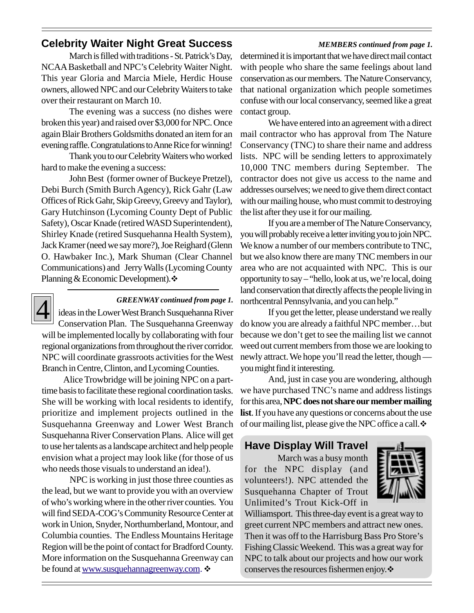### **Celebrity Waiter Night Great Success** *MEMBERS continued from page 1.*

March is filled with traditions - St. Patrick's Day, NCAA Basketball and NPC's Celebrity Waiter Night. This year Gloria and Marcia Miele, Herdic House owners, allowed NPC and our Celebrity Waiters to take over their restaurant on March 10.

The evening was a success (no dishes were broken this year) and raised over \$3,000 for NPC. Once again Blair Brothers Goldsmiths donated an item for an evening raffle. Congratulations to Anne Rice for winning!

Thank you to our Celebrity Waiters who worked hard to make the evening a success:

John Best (former owner of Buckeye Pretzel), Debi Burch (Smith Burch Agency), Rick Gahr (Law Offices of Rick Gahr, Skip Greevy, Greevy and Taylor), Gary Hutchinson (Lycoming County Dept of Public Safety), Oscar Knade (retired WASD Superintendent), Shirley Knade (retired Susquehanna Health System), Jack Kramer (need we say more?), Joe Reighard (Glenn O. Hawbaker Inc.), Mark Shuman (Clear Channel Communications) and Jerry Walls (Lycoming County Planning & Economic Development). $\cdot$ 



### *GREENWAY continued from page 1.*

ideas in the Lower West Branch Susquehanna River Conservation Plan. The Susquehanna Greenway will be implemented locally by collaborating with four regional organizations from throughout the river corridor. NPC will coordinate grassroots activities for the West Branch in Centre, Clinton, and Lycoming Counties.

 Alice Trowbridge will be joining NPC on a parttime basis to facilitate these regional coordination tasks. She will be working with local residents to identify, prioritize and implement projects outlined in the Susquehanna Greenway and Lower West Branch Susquehanna River Conservation Plans. Alice will get to use her talents as a landscape architect and help people envision what a project may look like (for those of us who needs those visuals to understand an idea!).

NPC is working in just those three counties as the lead, but we want to provide you with an overview of who's working where in the other river counties. You will find SEDA-COG's Community Resource Center at work in Union, Snyder, Northumberland, Montour, and Columbia counties. The Endless Mountains Heritage Region will be the point of contact for Bradford County. More information on the Susquehanna Greenway can be found at www.susquehannagreenway.com.

determined it is important that we have direct mail contact with people who share the same feelings about land conservation as our members. The Nature Conservancy, that national organization which people sometimes confuse with our local conservancy, seemed like a great contact group.

We have entered into an agreement with a direct mail contractor who has approval from The Nature Conservancy (TNC) to share their name and address lists. NPC will be sending letters to approximately 10,000 TNC members during September. The contractor does not give us access to the name and addresses ourselves; we need to give them direct contact with our mailing house, who must commit to destroying the list after they use it for our mailing.

If you are a member of The Nature Conservancy, you will probably receive a letter inviting you to join NPC. We know a number of our members contribute to TNC, but we also know there are many TNC members in our area who are not acquainted with NPC. This is our opportunity to say – "hello, look at us, we're local, doing land conservation that directly affects the people living in northcentral Pennsylvania, and you can help."

If you get the letter, please understand we really do know you are already a faithful NPC member…but because we don't get to see the mailing list we cannot weed out current members from those we are looking to newly attract. We hope you'll read the letter, though you might find it interesting.

And, just in case you are wondering, although we have purchased TNC's name and address listings for this area, **NPC does not share our member mailing list**. If you have any questions or concerns about the use of our mailing list, please give the NPC office a call. $\ddot{\cdot}$ 

### **Have Display Will Travel**

 March was a busy month for the NPC display (and volunteers!). NPC attended the Susquehanna Chapter of Trout Unlimited's Trout Kick-Off in



Williamsport. This three-day event is a great way to greet current NPC members and attract new ones. Then it was off to the Harrisburg Bass Pro Store's Fishing Classic Weekend. This was a great way for NPC to talk about our projects and how our work conserves the resources fishermen enjoy.  $\mathbf{\hat{*}}$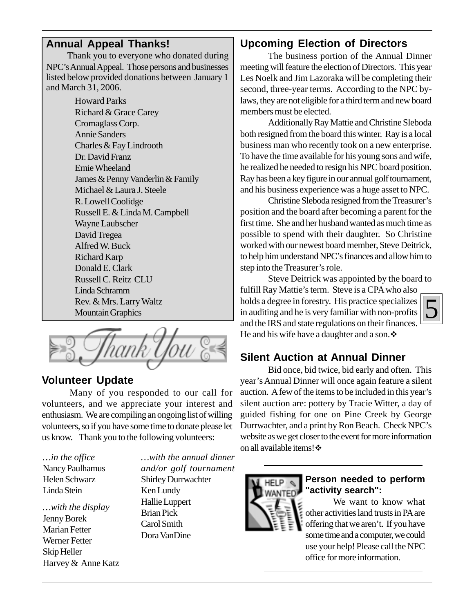### **Annual Appeal Thanks!**

 Thank you to everyone who donated during NPC's Annual Appeal. Those persons and businesses listed below provided donations between January 1 and March 31, 2006.

> Howard Parks Richard & Grace Carey Cromaglass Corp. Annie Sanders Charles & Fay Lindrooth Dr. David Franz Ernie Wheeland James & Penny Vanderlin & Family Michael & Laura J. Steele R. Lowell Coolidge Russell E. & Linda M. Campbell Wayne Laubscher David Tregea Alfred W. Buck Richard Karp Donald E. Clark Russell C. Reitz CLU Linda Schramm Rev. & Mrs. Larry Waltz Mountain Graphics

### **Volunteer Update**

Many of you responded to our call for volunteers, and we appreciate your interest and enthusiasm. We are compiling an ongoing list of willing volunteers, so if you have some time to donate please let us know. Thank you to the following volunteers:

*…in the office* Nancy Paulhamus Helen Schwarz Linda Stein

*…with the display* Jenny Borek Marian Fetter Werner Fetter Skip Heller Harvey & Anne Katz *…with the annual dinner and/or golf tournament* Shirley Durrwachter Ken Lundy Hallie Luppert Brian Pick Carol Smith Dora VanDine

### **Upcoming Election of Directors**

The business portion of the Annual Dinner meeting will feature the election of Directors. This year Les Noelk and Jim Lazoraka will be completing their second, three-year terms. According to the NPC bylaws, they are not eligible for a third term and new board members must be elected.

Additionally Ray Mattie and Christine Sleboda both resigned from the board this winter. Ray is a local business man who recently took on a new enterprise. To have the time available for his young sons and wife, he realized he needed to resign his NPC board position. Ray has been a key figure in our annual golf tournament, and his business experience was a huge asset to NPC.

Christine Sleboda resigned from the Treasurer's position and the board after becoming a parent for the first time. She and her husband wanted as much time as possible to spend with their daughter. So Christine worked with our newest board member, Steve Deitrick, to help him understand NPC's finances and allow him to step into the Treasurer's role.

Steve Deitrick was appointed by the board to fulfill Ray Mattie's term. Steve is a CPA who also holds a degree in forestry. His practice specializes in auditing and he is very familiar with non-profits and the IRS and state regulations on their finances. He and his wife have a daughter and a son.  $\ddot{\bullet}$ 

### **Silent Auction at Annual Dinner**

Bid once, bid twice, bid early and often. This year's Annual Dinner will once again feature a silent auction. A few of the items to be included in this year's silent auction are: pottery by Tracie Witter, a day of guided fishing for one on Pine Creek by George Durrwachter, and a print by Ron Beach. Check NPC's website as we get closer to the event for more information on all available items!  $\cdot\cdot\cdot$ 



### **Person needed to perform "activity search":**

We want to know what other activities land trusts in PA are offering that we aren't. If you have some time and a computer, we could use your help! Please call the NPC office for more information.